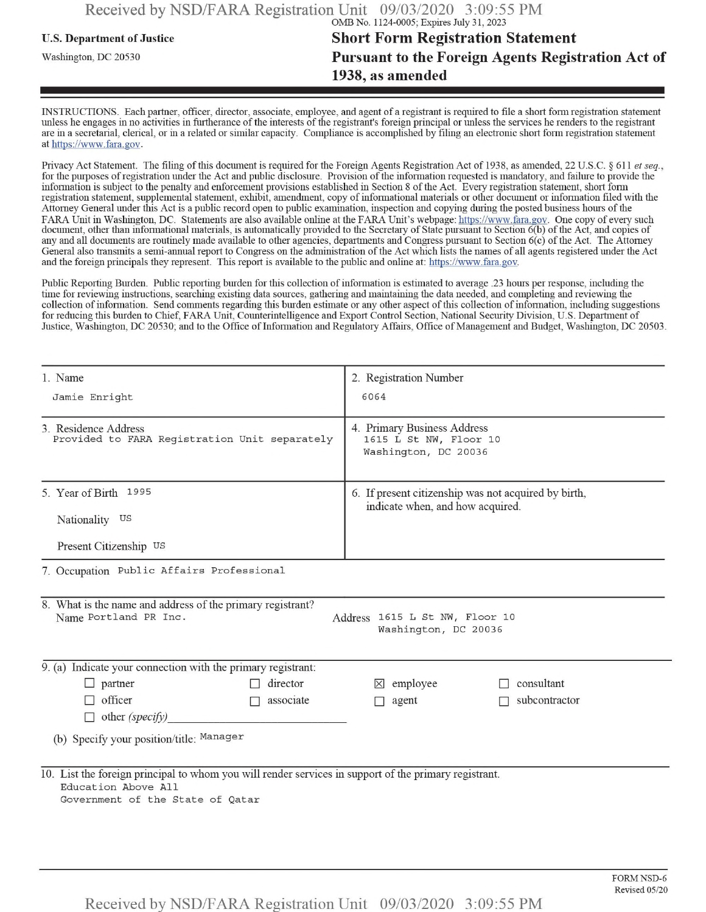## u.s. Department ofJustice **Short Form Registration Statement** Washington, dc <sup>20530</sup>**Pursuant to the Foreign Agents Registration Act of 1938, as amended**

INSTRUCTIONS. Each partner, officer, director, associate, employee, and agent of a registrant is required to file a short form registration statement unless he engages in no activities in furtherance ofthe interests ofthe registrant's foreign principal or unless the services he renders to the registrant are in a secretarial, clerical, or in a related or similar capacity. Compliance is accomplished by filing an electronic short form registration statement at https://www.fara.gov.

Privacy Act Statement. The filing of this document is required for the Foreign Agents Registration Act of 1938, as amended, 22 U.S.C. § 611 *et seq.*, for the purposes ofregistration under the Act and public disclosure. Provision ofthe information requested is mandatory, and failure to provide the information is subject to the penalty and enforcement provisions established in Section 8 of the Act. Every registration statement, short form registration statement, supplemental statement, exhibit, amendment, copy ofinformational materials or other document or information filed with the Attorney General under this Act is a public record open to public examination, inspection and copying during the posted business hours of the FARA Unit in Washington, DC. Statements are also available online at the FARA Unit's webpage: https://www.fara.gov. One copy of every such document, other than informational materials, is automatically provided to the Secretary of State pursuant to Section 6(b) ofthe Act, and copies of any and all documents are routinely made available to other agencies, departments and Congress pursuant to Section 6(c) ofthe Act. The Attorney General also transmits a semi-annual report to Congress on the administration ofthe Act which lists the names of all agents registered under the Act and the foreign principals they represent. This report is available to the public and online at: https://www.fara.gov.

Public Reporting Burden. Public reporting burden for this collection of information is estimated to average .23 hours per response, including the time for reviewing instructions, searching existing data sources, gathering and maintaining the data needed, and completing and reviewing the collection of information. Send comments regarding this burden estimate or any other aspect of this collection of information, including suggestions for reducing this burden to Chief, FARA Unit, Counterintelligence and Export Control Section, National Security Division, U.S. Department of Justice, Washington, DC 20530; and to the Office of Information and Regulatory Affairs, Office of Management and Budget, Washington, DC 20503.

| 1. Name                                                                                                                                                          | 2. Registration Number                                                                   |               |  |  |  |  |  |  |
|------------------------------------------------------------------------------------------------------------------------------------------------------------------|------------------------------------------------------------------------------------------|---------------|--|--|--|--|--|--|
| Jamie Enright                                                                                                                                                    | 6064                                                                                     |               |  |  |  |  |  |  |
| 3. Residence Address<br>Provided to FARA Registration Unit separately                                                                                            | 4. Primary Business Address<br>1615 L St NW, Floor 10<br>Washington, DC 20036            |               |  |  |  |  |  |  |
| 5. Year of Birth 1995                                                                                                                                            | 6. If present citizenship was not acquired by birth,<br>indicate when, and how acquired. |               |  |  |  |  |  |  |
| Nationality US                                                                                                                                                   |                                                                                          |               |  |  |  |  |  |  |
| Present Citizenship US                                                                                                                                           |                                                                                          |               |  |  |  |  |  |  |
| 7. Occupation Public Affairs Professional                                                                                                                        |                                                                                          |               |  |  |  |  |  |  |
| 8. What is the name and address of the primary registrant?<br>Name Portland PR Inc.<br>Address 1615 L St NW, Floor 10<br>Washington, DC 20036                    |                                                                                          |               |  |  |  |  |  |  |
| 9. (a) Indicate your connection with the primary registrant:                                                                                                     |                                                                                          |               |  |  |  |  |  |  |
| $\Box$ partner<br>director                                                                                                                                       | $\times$ employee                                                                        | consultant    |  |  |  |  |  |  |
| $\Box$ officer<br>associate<br>П                                                                                                                                 | agent<br>$\Box$                                                                          | subcontractor |  |  |  |  |  |  |
| $\Box$ other (specify)                                                                                                                                           |                                                                                          |               |  |  |  |  |  |  |
| (b) Specify your position/title: Manager                                                                                                                         |                                                                                          |               |  |  |  |  |  |  |
| 10. List the foreign principal to whom you will render services in support of the primary registrant.<br>Education Above All<br>Government of the State of Qatar |                                                                                          |               |  |  |  |  |  |  |